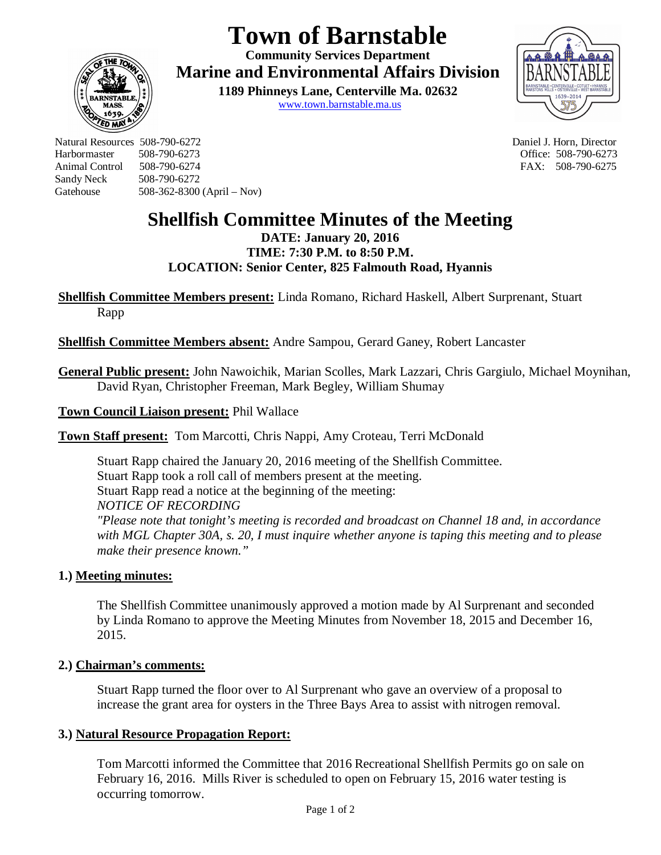# **Town of Barnstable**

**Community Services Department Marine and Environmental Affairs Division** 

> **1189 Phinneys Lane, Centerville Ma. 02632** www.town.barnstable.ma.us



Natural Resources 508-790-6272 Daniel J. Horn, Director Harbormaster 508-790-6273 Office: 508-790-6273 Sandy Neck 508-790-6272 Gatehouse 508-362-8300 (April – Nov)

**ED MP** 

FAX: 508-790-6275

# **Shellfish Committee Minutes of the Meeting**

**DATE: January 20, 2016 TIME: 7:30 P.M. to 8:50 P.M. LOCATION: Senior Center, 825 Falmouth Road, Hyannis**

**Shellfish Committee Members present:** Linda Romano, Richard Haskell, Albert Surprenant, Stuart Rapp

**Shellfish Committee Members absent:** Andre Sampou, Gerard Ganey, Robert Lancaster

**General Public present:** John Nawoichik, Marian Scolles, Mark Lazzari, Chris Gargiulo, Michael Moynihan, David Ryan, Christopher Freeman, Mark Begley, William Shumay

**Town Council Liaison present:** Phil Wallace

**Town Staff present:** Tom Marcotti, Chris Nappi, Amy Croteau, Terri McDonald

Stuart Rapp chaired the January 20, 2016 meeting of the Shellfish Committee. Stuart Rapp took a roll call of members present at the meeting. Stuart Rapp read a notice at the beginning of the meeting: *NOTICE OF RECORDING "Please note that tonight's meeting is recorded and broadcast on Channel 18 and, in accordance with MGL Chapter 30A, s. 20, I must inquire whether anyone is taping this meeting and to please make their presence known."*

## **1.) Meeting minutes:**

The Shellfish Committee unanimously approved a motion made by Al Surprenant and seconded by Linda Romano to approve the Meeting Minutes from November 18, 2015 and December 16, 2015.

## **2.) Chairman's comments:**

Stuart Rapp turned the floor over to Al Surprenant who gave an overview of a proposal to increase the grant area for oysters in the Three Bays Area to assist with nitrogen removal.

## **3.) Natural Resource Propagation Report:**

Tom Marcotti informed the Committee that 2016 Recreational Shellfish Permits go on sale on February 16, 2016. Mills River is scheduled to open on February 15, 2016 water testing is occurring tomorrow.